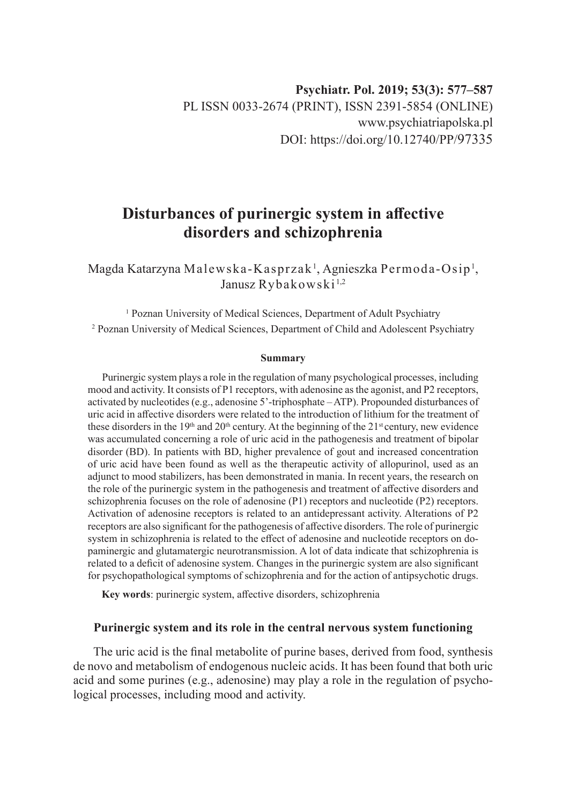# **Disturbances of purinergic system in affective disorders and schizophrenia**

Magda Katarzyna Malewska-Kasprzak $^{\rm l}$ , Agnieszka Permoda-Osip $^{\rm l}$ , Janusz Rybakowski<sup>1,2</sup>

<sup>1</sup> Poznan University of Medical Sciences, Department of Adult Psychiatry <sup>2</sup> Poznan University of Medical Sciences, Department of Child and Adolescent Psychiatry

#### **Summary**

Purinergic system plays a role in the regulation of many psychological processes, including mood and activity. It consists of P1 receptors, with adenosine as the agonist, and P2 receptors, activated by nucleotides (e.g., adenosine 5'-triphosphate – ATP). Propounded disturbances of uric acid in affective disorders were related to the introduction of lithium for the treatment of these disorders in the 19<sup>th</sup> and 20<sup>th</sup> century. At the beginning of the 21<sup>st</sup> century, new evidence was accumulated concerning a role of uric acid in the pathogenesis and treatment of bipolar disorder (BD). In patients with BD, higher prevalence of gout and increased concentration of uric acid have been found as well as the therapeutic activity of allopurinol, used as an adjunct to mood stabilizers, has been demonstrated in mania. In recent years, the research on the role of the purinergic system in the pathogenesis and treatment of affective disorders and schizophrenia focuses on the role of adenosine (P1) receptors and nucleotide (P2) receptors. Activation of adenosine receptors is related to an antidepressant activity. Alterations of P2 receptors are also significant for the pathogenesis of affective disorders. The role of purinergic system in schizophrenia is related to the effect of adenosine and nucleotide receptors on dopaminergic and glutamatergic neurotransmission. A lot of data indicate that schizophrenia is related to a deficit of adenosine system. Changes in the purinergic system are also significant for psychopathological symptoms of schizophrenia and for the action of antipsychotic drugs.

**Key words**: purinergic system, affective disorders, schizophrenia

## **Purinergic system and its role in the central nervous system functioning**

The uric acid is the final metabolite of purine bases, derived from food, synthesis de novo and metabolism of endogenous nucleic acids. It has been found that both uric acid and some purines (e.g., adenosine) may play a role in the regulation of psychological processes, including mood and activity.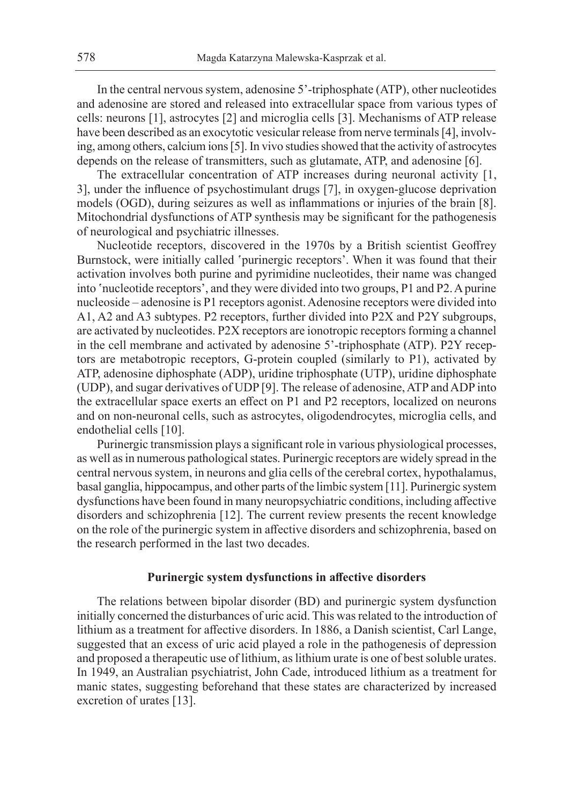In the central nervous system, adenosine 5'-triphosphate (ATP), other nucleotides and adenosine are stored and released into extracellular space from various types of cells: neurons [1], astrocytes [2] and microglia cells [3]. Mechanisms of ATP release have been described as an exocytotic vesicular release from nerve terminals [4], involving, among others, calcium ions [5]. In vivo studies showed that the activity of astrocytes depends on the release of transmitters, such as glutamate, ATP, and adenosine [6].

The extracellular concentration of ATP increases during neuronal activity [1, 3], under the influence of psychostimulant drugs [7], in oxygen-glucose deprivation models (OGD), during seizures as well as inflammations or injuries of the brain [8]. Mitochondrial dysfunctions of ATP synthesis may be significant for the pathogenesis of neurological and psychiatric illnesses.

Nucleotide receptors, discovered in the 1970s by a British scientist Geoffrey Burnstock, were initially called 'purinergic receptors'. When it was found that their activation involves both purine and pyrimidine nucleotides, their name was changed into 'nucleotide receptors', and they were divided into two groups, P1 and P2. A purine nucleoside – adenosine is P1 receptors agonist. Adenosine receptors were divided into A1, A2 and A3 subtypes. P2 receptors, further divided into P2X and P2Y subgroups, are activated by nucleotides. P2X receptors are ionotropic receptors forming a channel in the cell membrane and activated by adenosine 5'-triphosphate (ATP). P2Y receptors are metabotropic receptors, G-protein coupled (similarly to P1), activated by ATP, adenosine diphosphate (ADP), uridine triphosphate (UTP), uridine diphosphate (UDP), and sugar derivatives of UDP [9]. The release of adenosine, ATP and ADP into the extracellular space exerts an effect on P1 and P2 receptors, localized on neurons and on non-neuronal cells, such as astrocytes, oligodendrocytes, microglia cells, and endothelial cells [10].

Purinergic transmission plays a significant role in various physiological processes, as well as in numerous pathological states. Purinergic receptors are widely spread in the central nervous system, in neurons and glia cells of the cerebral cortex, hypothalamus, basal ganglia, hippocampus, and other parts of the limbic system [11]. Purinergic system dysfunctions have been found in many neuropsychiatric conditions, including affective disorders and schizophrenia [12]. The current review presents the recent knowledge on the role of the purinergic system in affective disorders and schizophrenia, based on the research performed in the last two decades.

#### **Purinergic system dysfunctions in affective disorders**

The relations between bipolar disorder (BD) and purinergic system dysfunction initially concerned the disturbances of uric acid. This was related to the introduction of lithium as a treatment for affective disorders. In 1886, a Danish scientist, Carl Lange, suggested that an excess of uric acid played a role in the pathogenesis of depression and proposed a therapeutic use of lithium, as lithium urate is one of best soluble urates. In 1949, an Australian psychiatrist, John Cade, introduced lithium as a treatment for manic states, suggesting beforehand that these states are characterized by increased excretion of urates [13].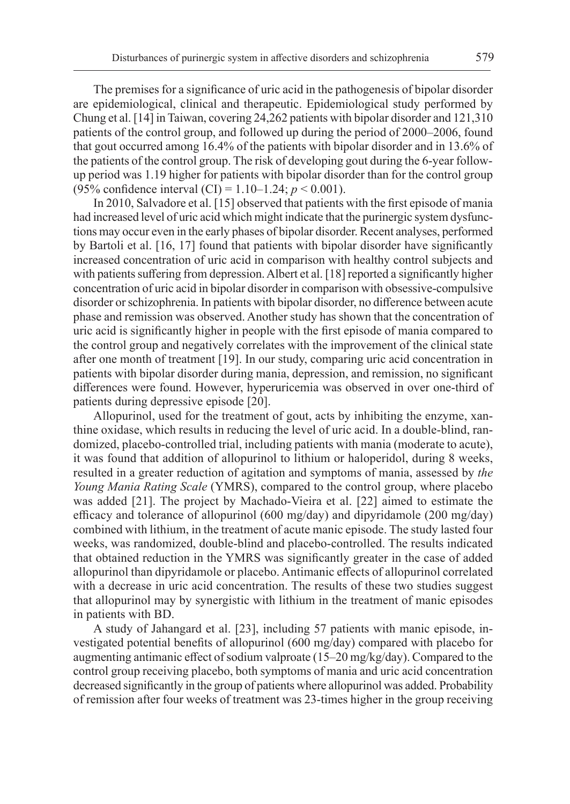The premises for a significance of uric acid in the pathogenesis of bipolar disorder are epidemiological, clinical and therapeutic. Epidemiological study performed by Chung et al. [14] in Taiwan, covering 24,262 patients with bipolar disorder and 121,310 patients of the control group, and followed up during the period of 2000–2006, found that gout occurred among 16.4% of the patients with bipolar disorder and in 13.6% of the patients of the control group. The risk of developing gout during the 6-year followup period was 1.19 higher for patients with bipolar disorder than for the control group (95% confidence interval (CI) = 1.10–1.24; *p* < 0.001).

In 2010, Salvadore et al. [15] observed that patients with the first episode of mania had increased level of uric acid which might indicate that the purinergic system dysfunctions may occur even in the early phases of bipolar disorder. Recent analyses, performed by Bartoli et al. [16, 17] found that patients with bipolar disorder have significantly increased concentration of uric acid in comparison with healthy control subjects and with patients suffering from depression. Albert et al. [18] reported a significantly higher concentration of uric acid in bipolar disorder in comparison with obsessive-compulsive disorder or schizophrenia. In patients with bipolar disorder, no difference between acute phase and remission was observed. Another study has shown that the concentration of uric acid is significantly higher in people with the first episode of mania compared to the control group and negatively correlates with the improvement of the clinical state after one month of treatment [19]. In our study, comparing uric acid concentration in patients with bipolar disorder during mania, depression, and remission, no significant differences were found. However, hyperuricemia was observed in over one-third of patients during depressive episode [20].

Allopurinol, used for the treatment of gout, acts by inhibiting the enzyme, xanthine oxidase, which results in reducing the level of uric acid. In a double-blind, randomized, placebo-controlled trial, including patients with mania (moderate to acute), it was found that addition of allopurinol to lithium or haloperidol, during 8 weeks, resulted in a greater reduction of agitation and symptoms of mania, assessed by *the Young Mania Rating Scale* (YMRS), compared to the control group, where placebo was added [21]. The project by Machado-Vieira et al. [22] aimed to estimate the efficacy and tolerance of allopurinol (600 mg/day) and dipyridamole (200 mg/day) combined with lithium, in the treatment of acute manic episode. The study lasted four weeks, was randomized, double-blind and placebo-controlled. The results indicated that obtained reduction in the YMRS was significantly greater in the case of added allopurinol than dipyridamole or placebo. Antimanic effects of allopurinol correlated with a decrease in uric acid concentration. The results of these two studies suggest that allopurinol may by synergistic with lithium in the treatment of manic episodes in patients with BD.

A study of Jahangard et al. [23], including 57 patients with manic episode, investigated potential benefits of allopurinol (600 mg/day) compared with placebo for augmenting antimanic effect of sodium valproate (15–20 mg/kg/day). Compared to the control group receiving placebo, both symptoms of mania and uric acid concentration decreased significantly in the group of patients where allopurinol was added. Probability of remission after four weeks of treatment was 23-times higher in the group receiving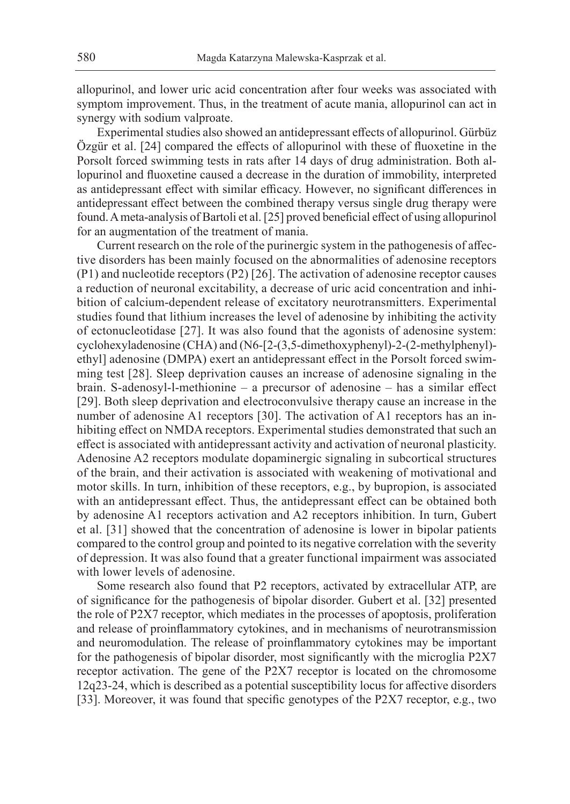allopurinol, and lower uric acid concentration after four weeks was associated with symptom improvement. Thus, in the treatment of acute mania, allopurinol can act in synergy with sodium valproate.

Experimental studies also showed an antidepressant effects of allopurinol. Gürbüz Özgür et al. [24] compared the effects of allopurinol with these of fluoxetine in the Porsolt forced swimming tests in rats after 14 days of drug administration. Both allopurinol and fluoxetine caused a decrease in the duration of immobility, interpreted as antidepressant effect with similar efficacy. However, no significant differences in antidepressant effect between the combined therapy versus single drug therapy were found. A meta-analysis of Bartoli et al. [25] proved beneficial effect of using allopurinol for an augmentation of the treatment of mania.

Current research on the role of the purinergic system in the pathogenesis of affective disorders has been mainly focused on the abnormalities of adenosine receptors (P1) and nucleotide receptors (P2) [26]. The activation of adenosine receptor causes a reduction of neuronal excitability, a decrease of uric acid concentration and inhibition of calcium-dependent release of excitatory neurotransmitters. Experimental studies found that lithium increases the level of adenosine by inhibiting the activity of ectonucleotidase [27]. It was also found that the agonists of adenosine system: cyclohexyladenosine (CHA) and (N6-[2-(3,5-dimethoxyphenyl)-2-(2-methylphenyl) ethyl] adenosine (DMPA) exert an antidepressant effect in the Porsolt forced swimming test [28]. Sleep deprivation causes an increase of adenosine signaling in the brain. S-adenosyl-l-methionine – a precursor of adenosine – has a similar effect [29]. Both sleep deprivation and electroconvulsive therapy cause an increase in the number of adenosine A1 receptors [30]. The activation of A1 receptors has an inhibiting effect on NMDA receptors. Experimental studies demonstrated that such an effect is associated with antidepressant activity and activation of neuronal plasticity. Adenosine A2 receptors modulate dopaminergic signaling in subcortical structures of the brain, and their activation is associated with weakening of motivational and motor skills. In turn, inhibition of these receptors, e.g., by bupropion, is associated with an antidepressant effect. Thus, the antidepressant effect can be obtained both by adenosine A1 receptors activation and A2 receptors inhibition. In turn, Gubert et al. [31] showed that the concentration of adenosine is lower in bipolar patients compared to the control group and pointed to its negative correlation with the severity of depression. It was also found that a greater functional impairment was associated with lower levels of adenosine.

Some research also found that P2 receptors, activated by extracellular ATP, are of significance for the pathogenesis of bipolar disorder. Gubert et al. [32] presented the role of P2X7 receptor, which mediates in the processes of apoptosis, proliferation and release of proinflammatory cytokines, and in mechanisms of neurotransmission and neuromodulation. The release of proinflammatory cytokines may be important for the pathogenesis of bipolar disorder, most significantly with the microglia P2X7 receptor activation. The gene of the P2X7 receptor is located on the chromosome 12q23-24, which is described as a potential susceptibility locus for affective disorders [33]. Moreover, it was found that specific genotypes of the P2X7 receptor, e.g., two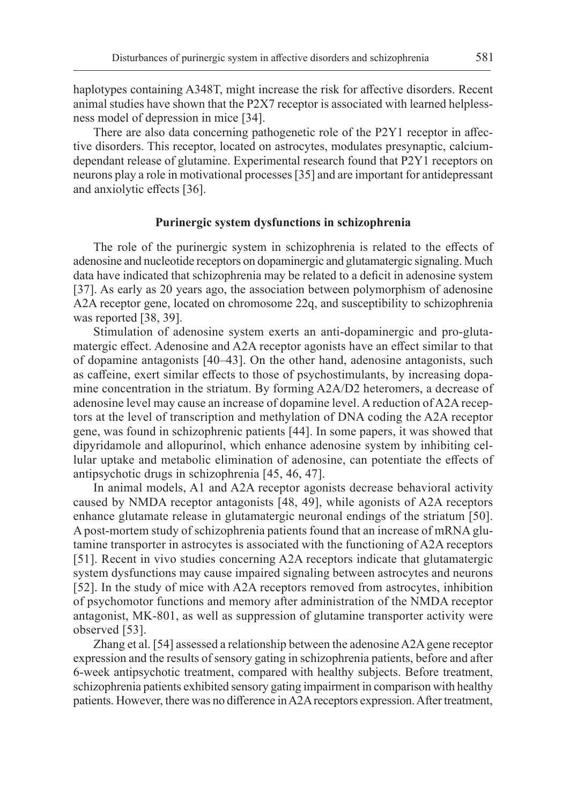haplotypes containing A348T, might increase the risk for affective disorders. Recent animal studies have shown that the P2X7 receptor is associated with learned helplessness model of depression in mice [34].

There are also data concerning pathogenetic role of the P2Y1 receptor in affective disorders. This receptor, located on astrocytes, modulates presynaptic, calciumdependant release of glutamine. Experimental research found that P2Y1 receptors on neurons play a role in motivational processes [35] and are important for antidepressant and anxiolytic effects [36].

#### **Purinergic system dysfunctions in schizophrenia**

The role of the purinergic system in schizophrenia is related to the effects of adenosine and nucleotide receptors on dopaminergic and glutamatergic signaling. Much data have indicated that schizophrenia may be related to a deficit in adenosine system [37]. As early as 20 years ago, the association between polymorphism of adenosine A2A receptor gene, located on chromosome 22q, and susceptibility to schizophrenia was reported [38, 39].

Stimulation of adenosine system exerts an anti-dopaminergic and pro-glutamatergic effect. Adenosine and A2A receptor agonists have an effect similar to that of dopamine antagonists [40–43]. On the other hand, adenosine antagonists, such as caffeine, exert similar effects to those of psychostimulants, by increasing dopamine concentration in the striatum. By forming A2A/D2 heteromers, a decrease of adenosine level may cause an increase of dopamine level. A reduction of A2A receptors at the level of transcription and methylation of DNA coding the A2A receptor gene, was found in schizophrenic patients [44]. In some papers, it was showed that dipyridamole and allopurinol, which enhance adenosine system by inhibiting cellular uptake and metabolic elimination of adenosine, can potentiate the effects of antipsychotic drugs in schizophrenia [45, 46, 47].

In animal models, A1 and A2A receptor agonists decrease behavioral activity caused by NMDA receptor antagonists [48, 49], while agonists of A2A receptors enhance glutamate release in glutamatergic neuronal endings of the striatum [50]. A post-mortem study of schizophrenia patients found that an increase of mRNA glutamine transporter in astrocytes is associated with the functioning of A2A receptors [51]. Recent in vivo studies concerning A2A receptors indicate that glutamatergic system dysfunctions may cause impaired signaling between astrocytes and neurons [52]. In the study of mice with A2A receptors removed from astrocytes, inhibition of psychomotor functions and memory after administration of the NMDA receptor antagonist, MK-801, as well as suppression of glutamine transporter activity were observed [53].

Zhang et al. [54] assessed a relationship between the adenosine A2A gene receptor expression and the results of sensory gating in schizophrenia patients, before and after 6-week antipsychotic treatment, compared with healthy subjects. Before treatment, schizophrenia patients exhibited sensory gating impairment in comparison with healthy patients. However, there was no difference in A2A receptors expression. After treatment,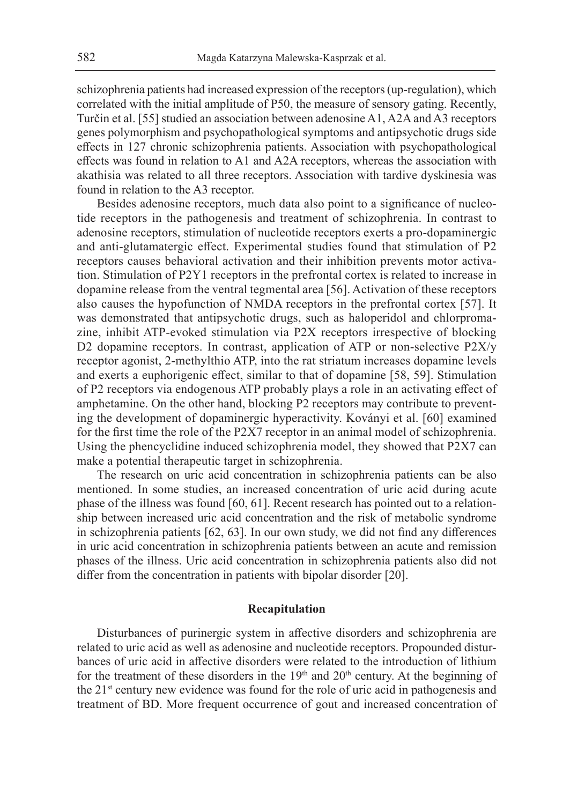schizophrenia patients had increased expression of the receptors (up-regulation), which correlated with the initial amplitude of P50, the measure of sensory gating. Recently, Turčin et al. [55] studied an association between adenosine A1, A2A and A3 receptors genes polymorphism and psychopathological symptoms and antipsychotic drugs side effects in 127 chronic schizophrenia patients. Association with psychopathological effects was found in relation to A1 and A2A receptors, whereas the association with akathisia was related to all three receptors. Association with tardive dyskinesia was found in relation to the A3 receptor.

Besides adenosine receptors, much data also point to a significance of nucleotide receptors in the pathogenesis and treatment of schizophrenia. In contrast to adenosine receptors, stimulation of nucleotide receptors exerts a pro-dopaminergic and anti-glutamatergic effect. Experimental studies found that stimulation of P2 receptors causes behavioral activation and their inhibition prevents motor activation. Stimulation of P2Y1 receptors in the prefrontal cortex is related to increase in dopamine release from the ventral tegmental area [56]. Activation of these receptors also causes the hypofunction of NMDA receptors in the prefrontal cortex [57]. It was demonstrated that antipsychotic drugs, such as haloperidol and chlorpromazine, inhibit ATP-evoked stimulation via P2X receptors irrespective of blocking D2 dopamine receptors. In contrast, application of ATP or non-selective P2X/y receptor agonist, 2-methylthio ATP, into the rat striatum increases dopamine levels and exerts a euphorigenic effect, similar to that of dopamine [58, 59]. Stimulation of P2 receptors via endogenous ATP probably plays a role in an activating effect of amphetamine. On the other hand, blocking P2 receptors may contribute to preventing the development of dopaminergic hyperactivity. Koványi et al. [60] examined for the first time the role of the P2X7 receptor in an animal model of schizophrenia. Using the phencyclidine induced schizophrenia model, they showed that P2X7 can make a potential therapeutic target in schizophrenia.

The research on uric acid concentration in schizophrenia patients can be also mentioned. In some studies, an increased concentration of uric acid during acute phase of the illness was found [60, 61]. Recent research has pointed out to a relationship between increased uric acid concentration and the risk of metabolic syndrome in schizophrenia patients [62, 63]. In our own study, we did not find any differences in uric acid concentration in schizophrenia patients between an acute and remission phases of the illness. Uric acid concentration in schizophrenia patients also did not differ from the concentration in patients with bipolar disorder [20].

### **Recapitulation**

Disturbances of purinergic system in affective disorders and schizophrenia are related to uric acid as well as adenosine and nucleotide receptors. Propounded disturbances of uric acid in affective disorders were related to the introduction of lithium for the treatment of these disorders in the  $19<sup>th</sup>$  and  $20<sup>th</sup>$  century. At the beginning of the 21<sup>st</sup> century new evidence was found for the role of uric acid in pathogenesis and treatment of BD. More frequent occurrence of gout and increased concentration of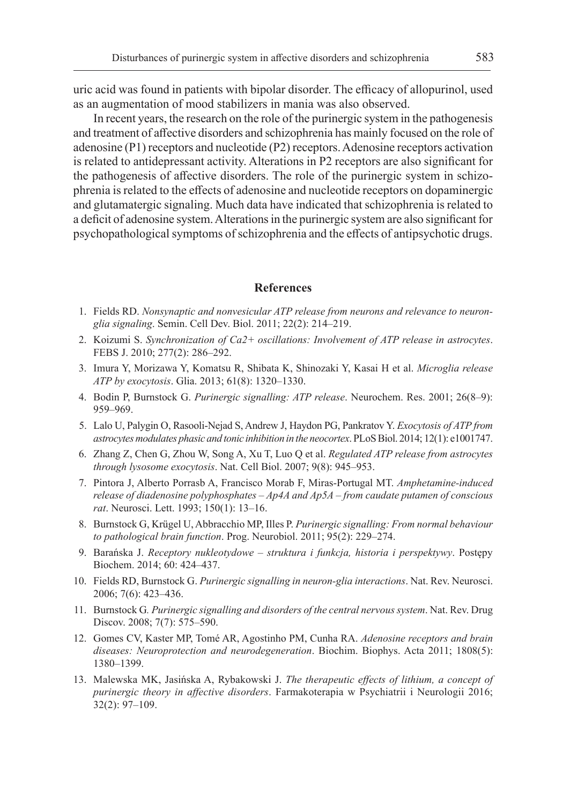uric acid was found in patients with bipolar disorder. The efficacy of allopurinol, used as an augmentation of mood stabilizers in mania was also observed.

In recent years, the research on the role of the purinergic system in the pathogenesis and treatment of affective disorders and schizophrenia has mainly focused on the role of adenosine (P1) receptors and nucleotide (P2) receptors. Adenosine receptors activation is related to antidepressant activity. Alterations in P2 receptors are also significant for the pathogenesis of affective disorders. The role of the purinergic system in schizophrenia is related to the effects of adenosine and nucleotide receptors on dopaminergic and glutamatergic signaling. Much data have indicated that schizophrenia is related to a deficit of adenosine system. Alterations in the purinergic system are also significant for psychopathological symptoms of schizophrenia and the effects of antipsychotic drugs.

#### **References**

- 1. Fields RD. *Nonsynaptic and nonvesicular ATP release from neurons and relevance to neuronglia signaling*. Semin. Cell Dev. Biol. 2011; 22(2): 214–219.
- 2. Koizumi S. *Synchronization of Ca2+ oscillations: Involvement of ATP release in astrocytes*. FEBS J. 2010; 277(2): 286–292.
- 3. Imura Y, Morizawa Y, Komatsu R, Shibata K, Shinozaki Y, Kasai H et al. *Microglia release ATP by exocytosis*. Glia. 2013; 61(8): 1320–1330.
- 4. Bodin P, Burnstock G. *Purinergic signalling: ATP release*. Neurochem. Res. 2001; 26(8–9): 959–969.
- 5. Lalo U, Palygin O, Rasooli-Nejad S, Andrew J, Haydon PG, Pankratov Y. *Exocytosis of ATP from astrocytes modulates phasic and tonic inhibition in the neocortex*. PLoS Biol. 2014; 12(1): e1001747.
- 6. Zhang Z, Chen G, Zhou W, Song A, Xu T, Luo Q et al. *Regulated ATP release from astrocytes through lysosome exocytosis*. Nat. Cell Biol. 2007; 9(8): 945–953.
- 7. Pintora J, Alberto Porrasb A, Francisco Morab F, Miras-Portugal MT. *Amphetamine-induced release of diadenosine polyphosphates – Ap4A and Ap5A – from caudate putamen of conscious rat*. Neurosci. Lett. 1993; 150(1): 13–16.
- 8. Burnstock G, Krügel U, Abbracchio MP, Illes P. *Purinergic signalling: From normal behaviour to pathological brain function*. Prog. Neurobiol. 2011; 95(2): 229–274.
- 9. Barańska J. *Receptory nukleotydowe struktura i funkcja, historia i perspektywy*. Postępy Biochem. 2014; 60: 424–437.
- 10. Fields RD, Burnstock G. *Purinergic signalling in neuron-glia interactions*. Nat. Rev. Neurosci. 2006; 7(6): 423–436.
- 11. Burnstock G*. Purinergic signalling and disorders of the central nervous system*. Nat. Rev. Drug Discov. 2008; 7(7): 575–590.
- 12. Gomes CV, Kaster MP, Tomé AR, Agostinho PM, Cunha RA. *Adenosine receptors and brain diseases: Neuroprotection and neurodegeneration*. Biochim. Biophys. Acta 2011; 1808(5): 1380–1399.
- 13. Malewska MK, Jasińska A, Rybakowski J. *The therapeutic effects of lithium, a concept of purinergic theory in affective disorders*. Farmakoterapia w Psychiatrii i Neurologii 2016; 32(2): 97–109.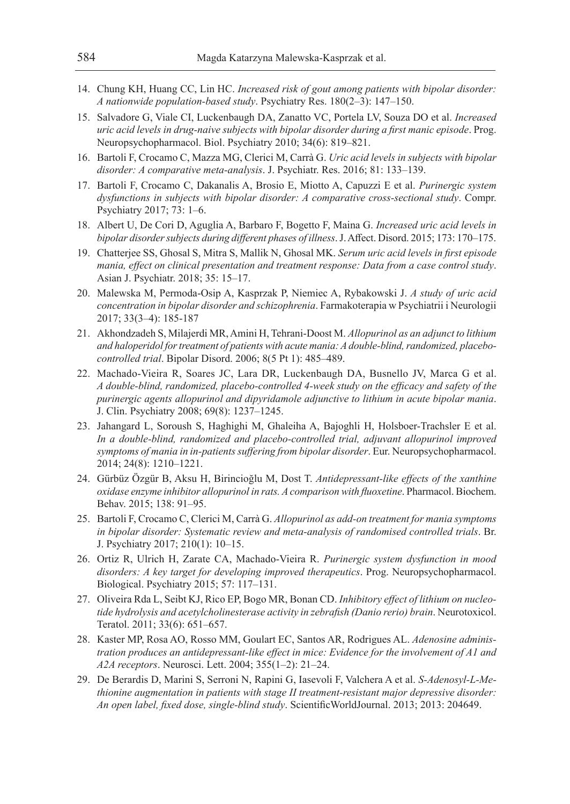- 14. Chung KH, Huang CC, Lin HC. *Increased risk of gout among patients with bipolar disorder: A nationwide population-based study*. Psychiatry Res. 180(2–3): 147–150.
- 15. Salvadore G, Viale CI, Luckenbaugh DA, Zanatto VC, Portela LV, Souza DO et al. *Increased uric acid levels in drug-naive subjects with bipolar disorder during a first manic episode*. Prog. Neuropsychopharmacol. Biol. Psychiatry 2010; 34(6): 819–821.
- 16. Bartoli F, Crocamo C, Mazza MG, Clerici M, Carrà G. *Uric acid levels in subjects with bipolar disorder: A comparative meta-analysis*. J. Psychiatr. Res. 2016; 81: 133–139.
- 17. Bartoli F, Crocamo C, Dakanalis A, Brosio E, Miotto A, Capuzzi E et al. *Purinergic system dysfunctions in subjects with bipolar disorder: A comparative cross-sectional study*. Compr. Psychiatry 2017; 73: 1–6.
- 18. Albert U, De Cori D, Aguglia A, Barbaro F, Bogetto F, Maina G. *Increased uric acid levels in bipolar disorder subjects during different phases of illness*. J. Affect. Disord. 2015; 173: 170–175.
- 19. Chatterjee SS, Ghosal S, Mitra S, Mallik N, Ghosal MK. *Serum uric acid levels in first episode mania, effect on clinical presentation and treatment response: Data from a case control study*. Asian J. Psychiatr. 2018; 35: 15–17.
- 20. Malewska M, Permoda-Osip A, Kasprzak P, Niemiec A, Rybakowski J. *A study of uric acid concentration in bipolar disorder and schizophrenia*. Farmakoterapia w Psychiatrii i Neurologii 2017; 33(3–4): 185-187
- 21. Akhondzadeh S, Milajerdi MR, Amini H, Tehrani-Doost M. *Allopurinol as an adjunct to lithium and haloperidol for treatment of patients with acute mania: A double-blind, randomized, placebocontrolled trial*. Bipolar Disord. 2006; 8(5 Pt 1): 485–489.
- 22. Machado-Vieira R, Soares JC, Lara DR, Luckenbaugh DA, Busnello JV, Marca G et al. *A double-blind, randomized, placebo-controlled 4-week study on the efficacy and safety of the purinergic agents allopurinol and dipyridamole adjunctive to lithium in acute bipolar mania*. J. Clin. Psychiatry 2008; 69(8): 1237–1245.
- 23. Jahangard L, Soroush S, Haghighi M, Ghaleiha A, Bajoghli H, Holsboer-Trachsler E et al. *In a double-blind, randomized and placebo-controlled trial, adjuvant allopurinol improved symptoms of mania in in-patients suffering from bipolar disorder*. Eur. Neuropsychopharmacol. 2014; 24(8): 1210–1221.
- 24. Gürbüz Özgür B, Aksu H, Birincioğlu M, Dost T. *Antidepressant-like effects of the xanthine oxidase enzyme inhibitor allopurinol in rats. A comparison with fluoxetine*. Pharmacol. Biochem. Behav. 2015; 138: 91–95.
- 25. Bartoli F, Crocamo C, Clerici M, Carrà G. *Allopurinol as add-on treatment for mania symptoms in bipolar disorder: Systematic review and meta-analysis of randomised controlled trials*. Br. J. Psychiatry 2017; 210(1): 10–15.
- 26. Ortiz R, Ulrich H, Zarate CA, Machado-Vieira R. *Purinergic system dysfunction in mood disorders: A key target for developing improved therapeutics*. Prog. Neuropsychopharmacol. Biological. Psychiatry 2015; 57: 117–131.
- 27. Oliveira Rda L, Seibt KJ, Rico EP, Bogo MR, Bonan CD. *Inhibitory effect of lithium on nucleotide hydrolysis and acetylcholinesterase activity in zebrafish (Danio rerio) brain*. Neurotoxicol. Teratol. 2011; 33(6): 651–657.
- 28. Kaster MP, Rosa AO, Rosso MM, Goulart EC, Santos AR, Rodrigues AL. *Adenosine administration produces an antidepressant-like effect in mice: Evidence for the involvement of A1 and A2A receptors*. Neurosci. Lett. 2004; 355(1–2): 21–24.
- 29. De Berardis D, Marini S, Serroni N, Rapini G, Iasevoli F, Valchera A et al. *S-Adenosyl-L-Methionine augmentation in patients with stage II treatment-resistant major depressive disorder: An open label, fixed dose, single-blind study*. ScientificWorldJournal. 2013; 2013: 204649.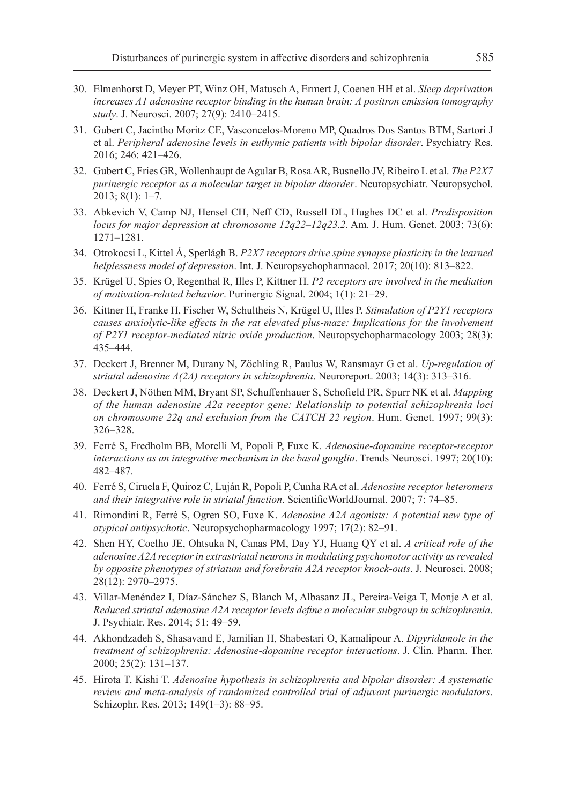- 30. Elmenhorst D, Meyer PT, Winz OH, Matusch A, Ermert J, Coenen HH et al. *Sleep deprivation increases A1 adenosine receptor binding in the human brain: A positron emission tomography study*. J. Neurosci. 2007; 27(9): 2410–2415.
- 31. Gubert C, Jacintho Moritz CE, Vasconcelos-Moreno MP, Quadros Dos Santos BTM, Sartori J et al. *Peripheral adenosine levels in euthymic patients with bipolar disorder*. Psychiatry Res. 2016; 246: 421–426.
- 32. Gubert C, Fries GR, Wollenhaupt de Agular B, Rosa AR, Busnello JV, Ribeiro L et al. *The P2X7 purinergic receptor as a molecular target in bipolar disorder*. Neuropsychiatr. Neuropsychol. 2013; 8(1): 1–7.
- 33. Abkevich V, Camp NJ, Hensel CH, Neff CD, Russell DL, Hughes DC et al. *Predisposition locus for major depression at chromosome 12q22–12q23.2*. Am. J. Hum. Genet. 2003; 73(6): 1271–1281.
- 34. Otrokocsi L, Kittel Á, Sperlágh B. *P2X7 receptors drive spine synapse plasticity in the learned helplessness model of depression*. Int. J. Neuropsychopharmacol. 2017; 20(10): 813–822.
- 35. Krügel U, Spies O, Regenthal R, Illes P, Kittner H. *P2 receptors are involved in the mediation of motivation-related behavior*. Purinergic Signal. 2004; 1(1): 21–29.
- 36. Kittner H, Franke H, Fischer W, Schultheis N, Krügel U, Illes P. *Stimulation of P2Y1 receptors causes anxiolytic-like effects in the rat elevated plus-maze: Implications for the involvement of P2Y1 receptor-mediated nitric oxide production*. Neuropsychopharmacology 2003; 28(3): 435–444.
- 37. Deckert J, Brenner M, Durany N, Zöchling R, Paulus W, Ransmayr G et al. *Up-regulation of striatal adenosine A(2A) receptors in schizophrenia*. Neuroreport. 2003; 14(3): 313–316.
- 38. Deckert J, Nöthen MM, Bryant SP, Schuffenhauer S, Schofield PR, Spurr NK et al. *Mapping of the human adenosine A2a receptor gene: Relationship to potential schizophrenia loci on chromosome 22q and exclusion from the CATCH 22 region*. Hum. Genet. 1997; 99(3): 326–328.
- 39. Ferré S, Fredholm BB, Morelli M, Popoli P, Fuxe K. *Adenosine-dopamine receptor-receptor interactions as an integrative mechanism in the basal ganglia*. Trends Neurosci. 1997; 20(10): 482–487.
- 40. Ferré S, Ciruela F, Quiroz C, Luján R, Popoli P, Cunha RA et al. *Adenosine receptor heteromers and their integrative role in striatal function*. ScientificWorldJournal. 2007; 7: 74–85.
- 41. Rimondini R, Ferré S, Ogren SO, Fuxe K. *Adenosine A2A agonists: A potential new type of atypical antipsychotic*. Neuropsychopharmacology 1997; 17(2): 82–91.
- 42. Shen HY, Coelho JE, Ohtsuka N, Canas PM, Day YJ, Huang QY et al. *A critical role of the adenosine A2A receptor in extrastriatal neurons in modulating psychomotor activity as revealed by opposite phenotypes of striatum and forebrain A2A receptor knock-outs*. J. Neurosci. 2008; 28(12): 2970–2975.
- 43. Villar-Menéndez I, Díaz-Sánchez S, Blanch M, Albasanz JL, Pereira-Veiga T, Monje A et al. *Reduced striatal adenosine A2A receptor levels define a molecular subgroup in schizophrenia*. J. Psychiatr. Res. 2014; 51: 49–59.
- 44. Akhondzadeh S, Shasavand E, Jamilian H, Shabestari O, Kamalipour A. *Dipyridamole in the treatment of schizophrenia: Adenosine-dopamine receptor interactions*. J. Clin. Pharm. Ther. 2000; 25(2): 131–137.
- 45. Hirota T, Kishi T. *Adenosine hypothesis in schizophrenia and bipolar disorder: A systematic review and meta-analysis of randomized controlled trial of adjuvant purinergic modulators*. Schizophr. Res. 2013; 149(1–3): 88–95.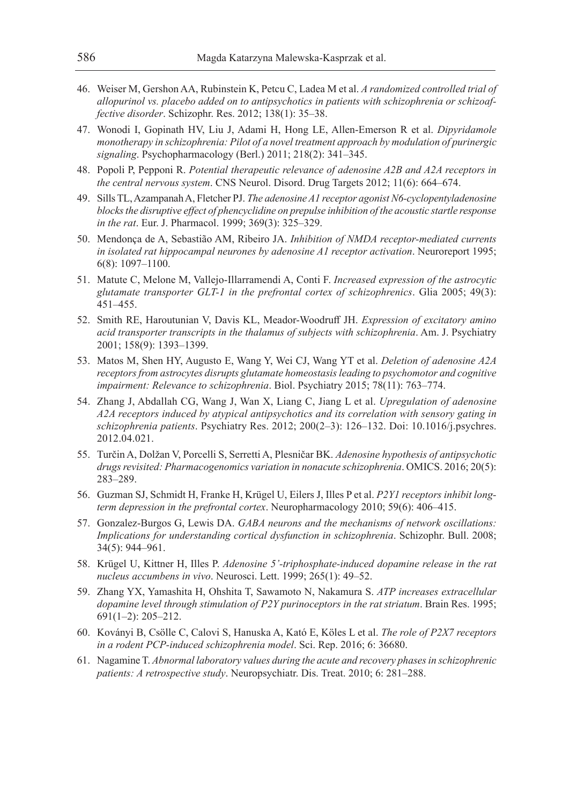- 46. Weiser M, Gershon AA, Rubinstein K, Petcu C, Ladea M et al. *A randomized controlled trial of allopurinol vs. placebo added on to antipsychotics in patients with schizophrenia or schizoaffective disorder*. Schizophr. Res. 2012; 138(1): 35–38.
- 47. Wonodi I, Gopinath HV, Liu J, Adami H, Hong LE, Allen-Emerson R et al. *Dipyridamole monotherapy in schizophrenia: Pilot of a novel treatment approach by modulation of purinergic signaling*. Psychopharmacology (Berl.) 2011; 218(2): 341–345.
- 48. Popoli P, Pepponi R. *Potential therapeutic relevance of adenosine A2B and A2A receptors in the central nervous system*. CNS Neurol. Disord. Drug Targets 2012; 11(6): 664–674.
- 49. Sills TL, Azampanah A, Fletcher PJ. *The adenosine A1 receptor agonist N6-cyclopentyladenosine blocks the disruptive effect of phencyclidine on prepulse inhibition of the acoustic startle response in the rat*. Eur. J. Pharmacol. 1999; 369(3): 325–329.
- 50. Mendonça de A, Sebastião AM, Ribeiro JA. *Inhibition of NMDA receptor-mediated currents in isolated rat hippocampal neurones by adenosine A1 receptor activation*. Neuroreport 1995; 6(8): 1097–1100.
- 51. Matute C, Melone M, Vallejo-Illarramendi A, Conti F. *Increased expression of the astrocytic glutamate transporter GLT-1 in the prefrontal cortex of schizophrenics*. Glia 2005; 49(3): 451–455.
- 52. Smith RE, Haroutunian V, Davis KL, Meador-Woodruff JH. *Expression of excitatory amino acid transporter transcripts in the thalamus of subjects with schizophrenia*. Am. J. Psychiatry 2001; 158(9): 1393–1399.
- 53. Matos M, Shen HY, Augusto E, Wang Y, Wei CJ, Wang YT et al. *Deletion of adenosine A2A receptors from astrocytes disrupts glutamate homeostasis leading to psychomotor and cognitive impairment: Relevance to schizophrenia*. Biol. Psychiatry 2015; 78(11): 763–774.
- 54. Zhang J, Abdallah CG, Wang J, Wan X, Liang C, Jiang L et al. *Upregulation of adenosine A2A receptors induced by atypical antipsychotics and its correlation with sensory gating in schizophrenia patients*. Psychiatry Res. 2012; 200(2–3): 126–132. Doi: 10.1016/j.psychres. 2012.04.021.
- 55. Turčin A, Dolžan V, Porcelli S, Serretti A, Plesničar BK. *Adenosine hypothesis of antipsychotic drugs revisited: Pharmacogenomics variation in nonacute schizophrenia*. OMICS. 2016; 20(5): 283–289.
- 56. Guzman SJ, Schmidt H, Franke H, Krügel U, Eilers J, Illes P et al. *P2Y1 receptors inhibit longterm depression in the prefrontal cortex*. Neuropharmacology 2010; 59(6): 406–415.
- 57. Gonzalez-Burgos G, Lewis DA. *GABA neurons and the mechanisms of network oscillations: Implications for understanding cortical dysfunction in schizophrenia*. Schizophr. Bull. 2008; 34(5): 944–961.
- 58. Krügel U, Kittner H, Illes P. *Adenosine 5'-triphosphate-induced dopamine release in the rat nucleus accumbens in vivo*. Neurosci. Lett. 1999; 265(1): 49–52.
- 59. Zhang YX, Yamashita H, Ohshita T, Sawamoto N, Nakamura S. *ATP increases extracellular dopamine level through stimulation of P2Y purinoceptors in the rat striatum*. Brain Res. 1995; 691(1–2): 205–212.
- 60. Koványi B, Csölle C, Calovi S, Hanuska A, Kató E, Köles L et al. *The role of P2X7 receptors in a rodent PCP-induced schizophrenia model*. Sci. Rep. 2016; 6: 36680.
- 61. Nagamine T. *Abnormal laboratory values during the acute and recovery phases in schizophrenic patients: A retrospective study*. Neuropsychiatr. Dis. Treat. 2010; 6: 281–288.